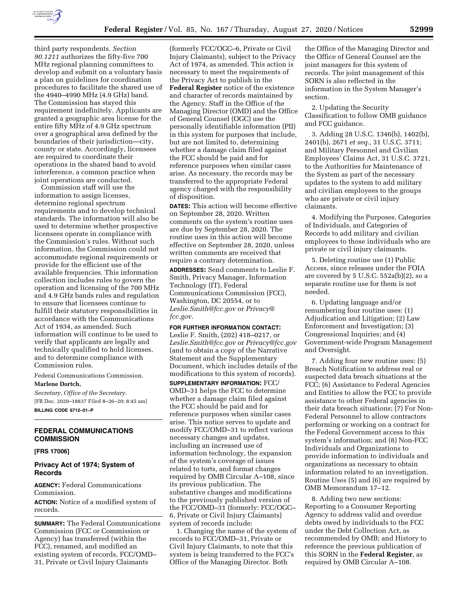

third party respondents. *Section 90.1211* authorizes the fifty-five 700 MHz regional planning committees to develop and submit on a voluntary basis a plan on guidelines for coordination procedures to facilitate the shared use of the 4940–4990 MHz (4.9 GHz) band. The Commission has stayed this requirement indefinitely. Applicants are granted a geographic area license for the entire fifty MHz of 4.9 GHz spectrum over a geographical area defined by the boundaries of their jurisdiction—city, county or state. Accordingly, licensees are required to coordinate their operations in the shared band to avoid interference, a common practice when joint operations are conducted.

Commission staff will use the information to assign licenses, determine regional spectrum requirements and to develop technical standards. The information will also be used to determine whether prospective licensees operate in compliance with the Commission's rules. Without such information, the Commission could not accommodate regional requirements or provide for the efficient use of the available frequencies. This information collection includes rules to govern the operation and licensing of the 700 MHz and 4.9 GHz bands rules and regulation to ensure that licensees continue to fulfill their statutory responsibilities in accordance with the Communications Act of 1934, as amended. Such information will continue to be used to verify that applicants are legally and technically qualified to hold licenses, and to determine compliance with Commission rules.

Federal Communications Commission.

# **Marlene Dortch,**

*Secretary, Office of the Secretary.*  [FR Doc. 2020–18837 Filed 8–26–20; 8:45 am] **BILLING CODE 6712–01–P** 

# **FEDERAL COMMUNICATIONS COMMISSION**

**[FRS 17006]** 

# **Privacy Act of 1974; System of Records**

**AGENCY:** Federal Communications Commission.

**ACTION:** Notice of a modified system of records.

**SUMMARY:** The Federal Communications Commission (FCC or Commission or Agency) has transferred (within the FCC), renamed, and modified an existing system of records, FCC/OMD– 31, Private or Civil Injury Claimants

(formerly FCC/OGC–6, Private or Civil Injury Claimants), subject to the Privacy Act of 1974, as amended. This action is necessary to meet the requirements of the Privacy Act to publish in the **Federal Register** notice of the existence and character of records maintained by the Agency. Staff in the Office of the Managing Director (OMD) and the Office of General Counsel (OGC) use the personally identifiable information (PII) in this system for purposes that include, but are not limited to, determining whether a damage claim filed against the FCC should be paid and for reference purposes when similar cases arise. As necessary, the records may be transferred to the appropriate Federal agency charged with the responsibility of disposition.

**DATES:** This action will become effective on September 28, 2020. Written comments on the system's routine uses are due by September 28, 2020. The routine uses in this action will become effective on September 28, 2020, unless written comments are received that require a contrary determination.

**ADDRESSES:** Send comments to Leslie F. Smith, Privacy Manager, Information Technology (IT), Federal Communications Commission (FCC), Washington, DC 20554, or to *[Leslie.Smith@fcc.gov](mailto:Leslie.Smith@fcc.gov)* or *[Privacy@](mailto:Privacy@fcc.gov) [fcc.gov.](mailto:Privacy@fcc.gov)* 

# **FOR FURTHER INFORMATION CONTACT:**

Leslie F. Smith, (202) 418–0217, or *[Leslie.Smith@fcc.gov](mailto:Leslie.Smith@fcc.gov)* or *[Privacy@fcc.gov](mailto:Privacy@fcc.gov)*  (and to obtain a copy of the Narrative Statement and the Supplementary Document, which includes details of the modifications to this system of records).

**SUPPLEMENTARY INFORMATION: FCC/** OMD–31 helps the FCC to determine whether a damage claim filed against the FCC should be paid and for reference purposes when similar cases arise. This notice serves to update and modify FCC/OMD–31 to reflect various necessary changes and updates, including an increased use of information technology, the expansion of the system's coverage of issues related to torts, and format changes required by OMB Circular A–108, since its previous publication. The substantive changes and modifications to the previously published version of the FCC/OMD–31 (formerly: FCC/OGC– 6, Private or Civil Injury Claimants) system of records include:

1. Changing the name of the system of records to FCC/OMD–31, Private or Civil Injury Claimants, to note that this system is being transferred to the FCC's Office of the Managing Director. Both

the Office of the Managing Director and the Office of General Counsel are the joint managers for this system of records. The joint management of this SORN is also reflected in the information in the System Manager's section.

2. Updating the Security Classification to follow OMB guidance and FCC guidance.

3. Adding 28 U.S.C. 1346(b), 1402(b), 2401(b), 2671 *et seq.,* 31 U.S.C. 3711; and Military Personnel and Civilian Employees' Claims Act, 31 U.S.C. 3721, to the Authorities for Maintenance of the System as part of the necessary updates to the system to add military and civilian employees to the groups who are private or civil injury claimants.

4. Modifying the Purposes, Categories of Individuals, and Categories of Records to add military and civilian employees to those individuals who are private or civil injury claimants.

5. Deleting routine use (1) Public Access, since releases under the FOIA are covered by 5 U.S.C. 552a(b)(2), so a separate routine use for them is not needed.

6. Updating language and/or renumbering four routine uses: (1) Adjudication and Litigation; (2) Law Enforcement and Investigation; (3) Congressional Inquiries; and (4) Government-wide Program Management and Oversight.

7. Adding four new routine uses: (5) Breach Notification to address real or suspected data breach situations at the FCC; (6) Assistance to Federal Agencies and Entities to allow the FCC to provide assistance to other Federal agencies in their data breach situations; (7) For Non-Federal Personnel to allow contractors performing or working on a contract for the Federal Government access to this system's information; and (8) Non-FCC Individuals and Organizations to provide information to individuals and organizations as necessary to obtain information related to an investigation. Routine Uses (5) and (6) are required by OMB Memorandum 17–12.

8. Adding two new sections: Reporting to a Consumer Reporting Agency to address valid and overdue debts owed by individuals to the FCC under the Debt Collection Act, as recommended by OMB; and History to reference the previous publication of this SORN in the **Federal Register**, as required by OMB Circular A–108.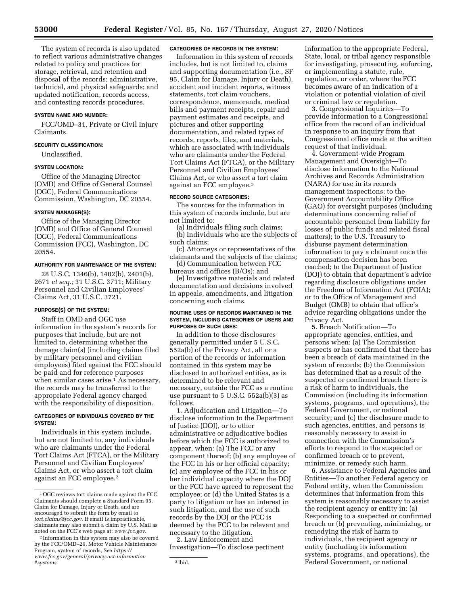The system of records is also updated to reflect various administrative changes related to policy and practices for storage, retrieval, and retention and disposal of the records; administrative, technical, and physical safeguards; and updated notification, records access, and contesting records procedures.

# **SYSTEM NAME AND NUMBER:**

FCC/OMD–31, Private or Civil Injury Claimants.

# **SECURITY CLASSIFICATION:**

Unclassified.

## **SYSTEM LOCATION:**

Office of the Managing Director (OMD) and Office of General Counsel (OGC), Federal Communications Commission, Washington, DC 20554.

#### **SYSTEM MANAGER(S):**

Office of the Managing Director (OMD) and Office of General Counsel (OGC), Federal Communications Commission (FCC), Washington, DC 20554.

# **AUTHORITY FOR MAINTENANCE OF THE SYSTEM:**

28 U.S.C. 1346(b), 1402(b), 2401(b), 2671 *et seq.;* 31 U.S.C. 3711; Military Personnel and Civilian Employees' Claims Act, 31 U.S.C. 3721.

## **PURPOSE(S) OF THE SYSTEM:**

Staff in OMD and OGC use information in the system's records for purposes that include, but are not limited to, determining whether the damage claim(s) (including claims filed by military personnel and civilian employees) filed against the FCC should be paid and for reference purposes when similar cases arise.<sup>1</sup> As necessary, the records may be transferred to the appropriate Federal agency charged with the responsibility of disposition.

# **CATEGORIES OF INDIVIDUALS COVERED BY THE SYSTEM:**

Individuals in this system include, but are not limited to, any individuals who are claimants under the Federal Tort Claims Act (FTCA), or the Military Personnel and Civilian Employees' Claims Act, or who assert a tort claim against an FCC employee.2

# **CATEGORIES OF RECORDS IN THE SYSTEM:**

Information in this system of records includes, but is not limited to, claims and supporting documentation (i.e., SF 95, Claim for Damage, Injury or Death), accident and incident reports, witness statements, tort claim vouchers, correspondence, memoranda, medical bills and payment receipts, repair and payment estimates and receipts, and pictures and other supporting documentation, and related types of records, reports, files, and materials, which are associated with individuals who are claimants under the Federal Tort Claims Act (FTCA), or the Military Personnel and Civilian Employees' Claims Act, or who assert a tort claim against an FCC employee.3

## **RECORD SOURCE CATEGORIES:**

The sources for the information in this system of records include, but are not limited to:

(a) Individuals filing such claims;

(b) Individuals who are the subjects of such claims;

(c) Attorneys or representatives of the claimants and the subjects of the claims;

(d) Communication between FCC bureaus and offices (B/Os); and

(e) Investigative materials and related documentation and decisions involved in appeals, amendments, and litigation concerning such claims.

#### **ROUTINE USES OF RECORDS MAINTAINED IN THE SYSTEM, INCLUDING CATEGORIES OF USERS AND PURPOSES OF SUCH USES:**

In addition to those disclosures generally permitted under 5 U.S.C. 552a(b) of the Privacy Act, all or a portion of the records or information contained in this system may be disclosed to authorized entities, as is determined to be relevant and necessary, outside the FCC as a routine use pursuant to 5 U.S.C. 552a(b)(3) as follows.

1. Adjudication and Litigation—To disclose information to the Department of Justice (DOJ), or to other administrative or adjudicative bodies before which the FCC is authorized to appear, when: (a) The FCC or any component thereof; (b) any employee of the FCC in his or her official capacity; (c) any employee of the FCC in his or her individual capacity where the DOJ or the FCC have agreed to represent the employee; or (d) the United States is a party to litigation or has an interest in such litigation, and the use of such records by the DOJ or the FCC is deemed by the FCC to be relevant and necessary to the litigation.

2. Law Enforcement and Investigation—To disclose pertinent

information to the appropriate Federal, State, local, or tribal agency responsible for investigating, prosecuting, enforcing, or implementing a statute, rule, regulation, or order, where the FCC becomes aware of an indication of a violation or potential violation of civil or criminal law or regulation.

3. Congressional Inquiries—To provide information to a Congressional office from the record of an individual in response to an inquiry from that Congressional office made at the written request of that individual.

4. Government-wide Program Management and Oversight—To disclose information to the National Archives and Records Administration (NARA) for use in its records management inspections; to the Government Accountability Office (GAO) for oversight purposes (including determinations concerning relief of accountable personnel from liability for losses of public funds and related fiscal matters); to the U.S. Treasury to disburse payment determination information to pay a claimant once the compensation decision has been reached; to the Department of Justice (DOJ) to obtain that department's advice regarding disclosure obligations under the Freedom of Information Act (FOIA); or to the Office of Management and Budget (OMB) to obtain that office's advice regarding obligations under the Privacy Act.

5. Breach Notification—To appropriate agencies, entities, and persons when: (a) The Commission suspects or has confirmed that there has been a breach of data maintained in the system of records; (b) the Commission has determined that as a result of the suspected or confirmed breach there is a risk of harm to individuals, the Commission (including its information systems, programs, and operations), the Federal Government, or national security; and (c) the disclosure made to such agencies, entities, and persons is reasonably necessary to assist in connection with the Commission's efforts to respond to the suspected or confirmed breach or to prevent, minimize, or remedy such harm.

6. Assistance to Federal Agencies and Entities—To another Federal agency or Federal entity, when the Commission determines that information from this system is reasonably necessary to assist the recipient agency or entity in: (a) Responding to a suspected or confirmed breach or (b) preventing, minimizing, or remedying the risk of harm to individuals, the recipient agency or entity (including its information systems, programs, and operations), the Federal Government, or national

<sup>1</sup>OGC reviews tort claims made against the FCC. Claimants should complete a Standard Form 95, Claim for Damage, Injury or Death, and are encouraged to submit the form by email to *[tort.claims@fcc.gov.](mailto:tort.claims@fcc.gov)* If email is impracticable, claimants may also submit a claim by U.S. Mail as noted on the FCC's web page at: *[www.fcc.gov.](http://www.fcc.gov)* 

<sup>2</sup> Information in this system may also be covered by the FCC/OMD–29, Motor Vehicle Maintenance Program, system of records, See *[https://](https://www.fcc.gov/general/privacy-act-information#systems) [www.fcc.gov/general/privacy-act-information](https://www.fcc.gov/general/privacy-act-information#systems) [#systems.](https://www.fcc.gov/general/privacy-act-information#systems)* 3 Ibid.